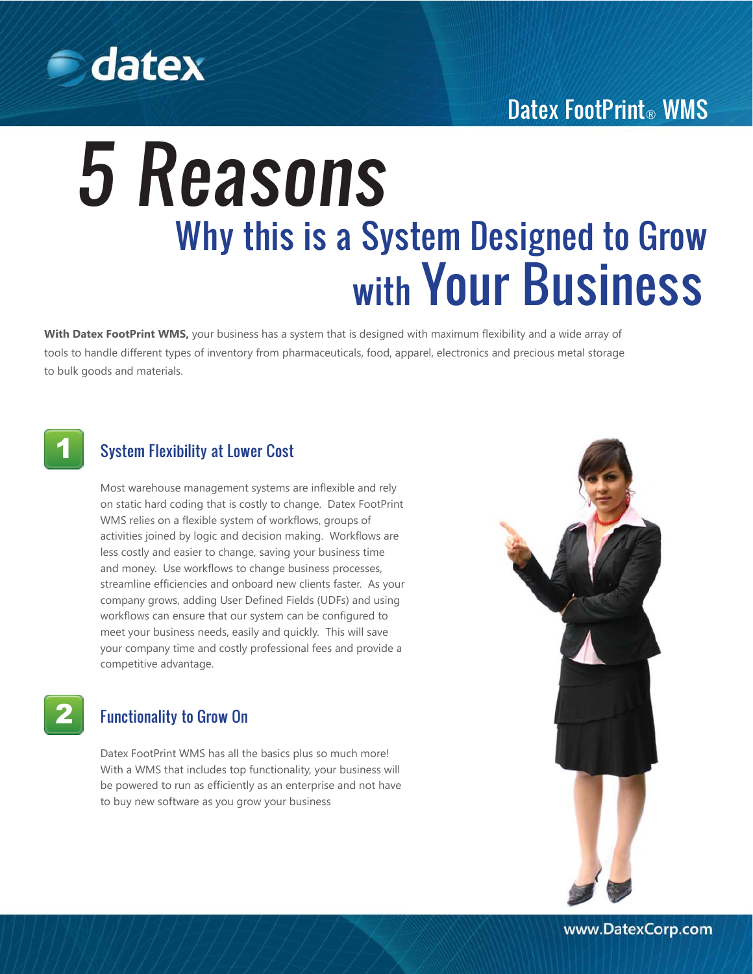

## Datex FootPrint® WMS

# 5 Reasons Why this is a System Designed to Grow with Your Business

**With Datex FootPrint WMS,** your business has a system that is designed with maximum flexibility and a wide array of tools to handle different types of inventory from pharmaceuticals, food, apparel, electronics and precious metal storage to bulk goods and materials.



## System Flexibility at Lower Cost

Most warehouse management systems are inflexible and rely on static hard coding that is costly to change. Datex FootPrint WMS relies on a flexible system of workflows, groups of activities joined by logic and decision making. Workflows are less costly and easier to change, saving your business time and money. Use workflows to change business processes, streamline efficiencies and onboard new clients faster. As your company grows, adding User Defined Fields (UDFs) and using workflows can ensure that our system can be configured to meet your business needs, easily and quickly. This will save your company time and costly professional fees and provide a competitive advantage.

2

#### Functionality to Grow On

Datex FootPrint WMS has all the basics plus so much more! With a WMS that includes top functionality, your business will be powered to run as efficiently as an enterprise and not have to buy new software as you grow your business